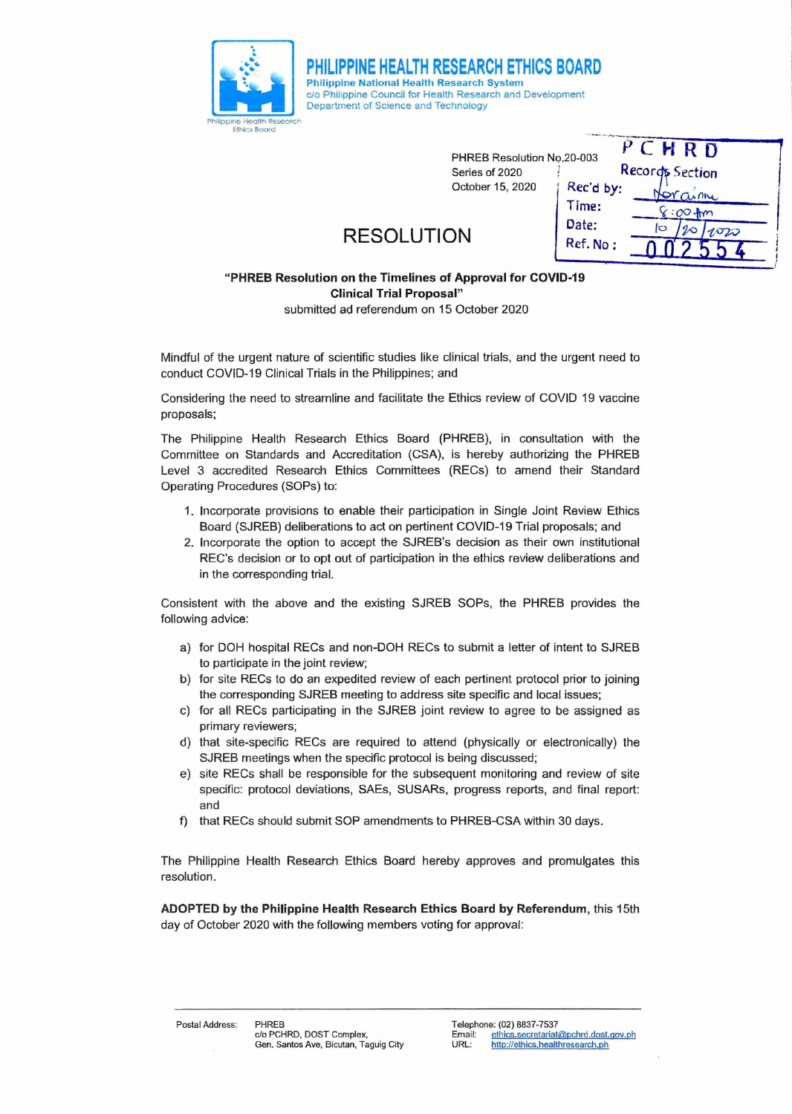

PHREB Resolution No.20-003  $P \subset H \cap D$ Series of 2020 Accords Section October 15, 2020 Rec'd by:  $\Omega$ Time:  $00+m$ Date:  $\sqrt{2}$  $20/1020$ 

Ref. No :

## **RESOLUTION**

Philippine National Health Research System

Department of Science and Technology

rrr<sup>r</sup>**PHILIPPINE HEALTH RESEARCH ETHICS BOARD** 

c/o Philippine Council for Health Research and Development

## "PHREB **Resolution on the Timelines of Approval for COVID-19 Clinical Trial Proposal"**  submitted ad referendum on 15 October 2020

Mindful of the urgent nature of scientific studies like clinical trials, and the urgent need to conduct COVID-19 Clinical Trials in the Philippines; and

Considering the need to streamline and facilitate the Ethics review of COVID 19 vaccine proposals;

The Philippine Health Research Ethics Board (PHREB), in consultation with the Committee on Standards and Accreditation (CSA), is hereby authorizing the PHREB Level 3 accredited Research Ethics Committees (RECs) to amend their Standard Operating Procedures (SOPs) to:

- 1. Incorporate provisions to enable their participation in Single Joint Review Ethics Board (SJREB) deliberations to act on pertinent COVID-19 Trial proposals; and
- 2. Incorporate the option to accept the SJREB's decision as their own institutional REC's decision or to opt out of participation in the ethics review deliberations and in the corresponding trial.

Consistent with the above and the existing SJREB SOPs, the PHREB provides the following advice:

- a) for DOH hospital RECs and non-DOH RECs to submit a letter of intent to SJREB to participate in the joint review;
- b) for site RECs to do an expedited review of each pertinent protocol prior to joining the corresponding SJREB meeting to address site specific and local issues;
- c) for all RECs participating in the SJREB joint review to agree to be assigned as primary reviewers;
- d) that site-specific RECs are required to attend (physically or electronically) the SJREB meetings when the specific protocol is being discussed;
- e) site RECs shall be responsible for the subsequent monitoring and review of site specific: protocol deviations, SAEs, SUSARs, progress reports, and final report: and
- f) that RECs should submit SOP amendments to PHREB-CSA within 30 days.

The Philippine Health Research Ethics Board hereby approves and promulgates this resolution.

**ADOPTED by the Philippine Health Research Ethics Board by Referendum,** this 15th day of October 2020 with the following members voting for approval: